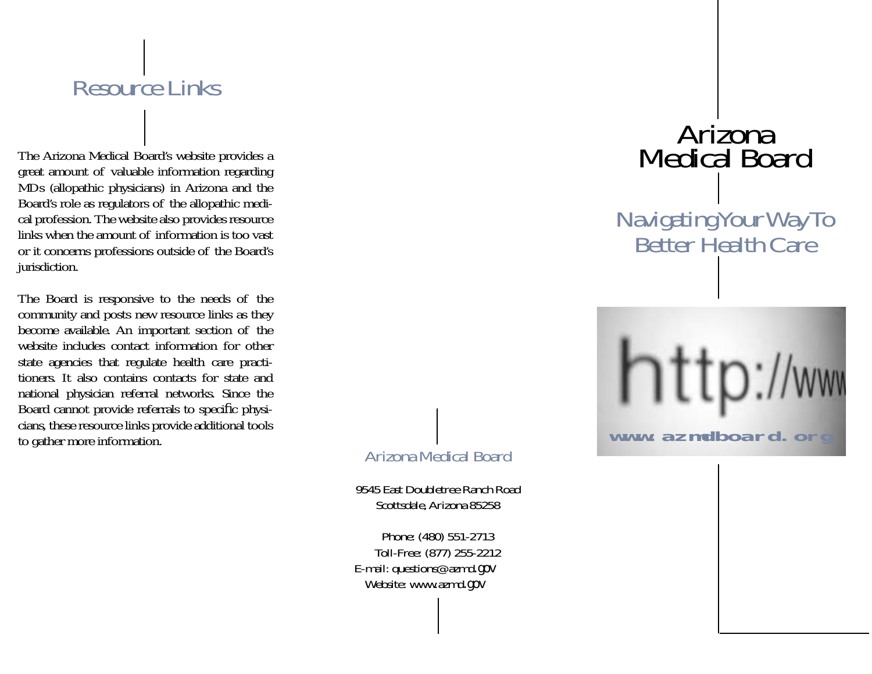#### Resource Links

The Arizona Medical Board's website provides a great amount of valuable information regarding MDs (allopathic physicians) in Arizona and the Board's role as regulators of the allopathic medical profession. The website also provides resource links when the amount of information is too vast or it concerns professions outside of the Board's jurisdiction.

The Board is responsive to the needs of the community and posts new resource links as they become available. An important section of the website includes contact information for other state agencies that regulate health care practitioners. It also contains contacts for state and national physician referral networks. Since the Board cannot provide referrals to specific physicians, these resource links provide additional tools to gather more information.

## Arizona Medical Board

9545 East Doubletree Ranch RoadScottsdale, Arizona 85258

Phone: (480) 551-2713 Toll-Free: (877) 255-2212 E-mail: questions@azmd.gov Website: www.azmd.gov

# Arizona Medical Board

Navigating Your Way To<br>Better Health Care